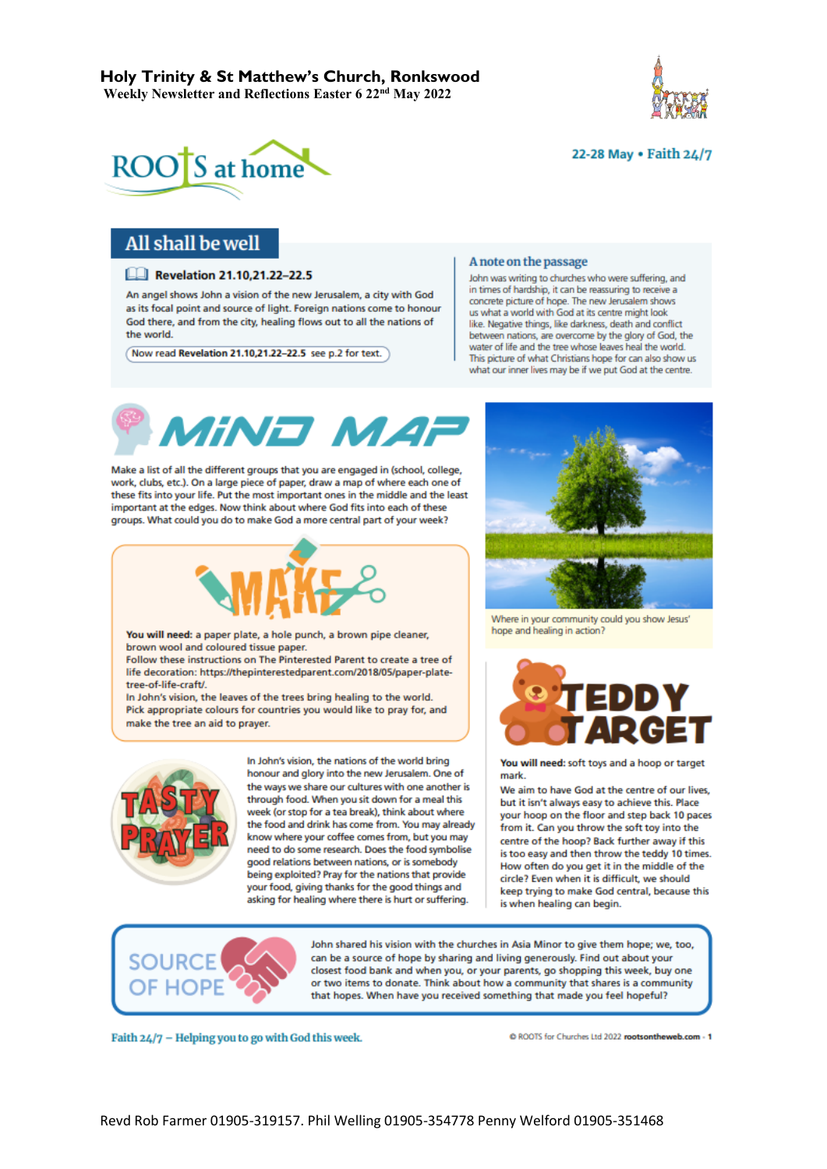





# All shall be well

#### **ELI Revelation 21.10.21.22-22.5**

An angel shows John a vision of the new Jerusalem, a city with God as its focal point and source of light. Foreign nations come to honour God there, and from the city, healing flows out to all the nations of the world.

Now read Revelation 21.10,21.22-22.5 see p.2 for text.

#### A note on the passage

John was writing to churches who were suffering, and in times of hardship, it can be reassuring to receive a concrete picture of hope. The new Jerusalem shows us what a world with God at its centre might look like. Negative things, like darkness, death and conflict between nations, are overcome by the glory of God, the water of life and the tree whose leaves heal the world. This picture of what Christians hope for can also show us what our inner lives may be if we put God at the centre.



Make a list of all the different groups that you are engaged in (school, college, work, clubs, etc.). On a large piece of paper, draw a map of where each one of these fits into your life. Put the most important ones in the middle and the least important at the edges. Now think about where God fits into each of these groups. What could you do to make God a more central part of your week?



You will need: a paper plate, a hole punch, a brown pipe cleaner, brown wool and coloured tissue paper.

Follow these instructions on The Pinterested Parent to create a tree of life decoration: https://thepinterestedparent.com/2018/05/paper-platetree-of-life-craft/.

In John's vision, the leaves of the trees bring healing to the world. Pick appropriate colours for countries you would like to pray for, and make the tree an aid to prayer.



In John's vision, the nations of the world bring honour and glory into the new Jerusalem. One of the ways we share our cultures with one another is through food. When you sit down for a meal this week (or stop for a tea break), think about where the food and drink has come from. You may already know where your coffee comes from, but you may need to do some research. Does the food symbolise good relations between nations, or is somebody being exploited? Pray for the nations that provide your food, giving thanks for the good things and asking for healing where there is hurt or suffering.



Where in your community could you show Jesus' hope and healing in action?



You will need: soft toys and a hoop or target mark.

We aim to have God at the centre of our lives, but it isn't always easy to achieve this. Place your hoop on the floor and step back 10 paces from it. Can you throw the soft toy into the centre of the hoop? Back further away if this is too easy and then throw the teddy 10 times. How often do you get it in the middle of the circle? Even when it is difficult, we should keep trying to make God central, because this is when healing can begin.



John shared his vision with the churches in Asia Minor to give them hope; we, too, can be a source of hope by sharing and living generously. Find out about your closest food bank and when you, or your parents, go shopping this week, buy one or two items to donate. Think about how a community that shares is a community that hopes. When have you received something that made you feel hopeful?

Faith 24/7 - Helping you to go with God this week.

C ROOTS for Churches Ltd 2022 rootsontheweb.com - 1